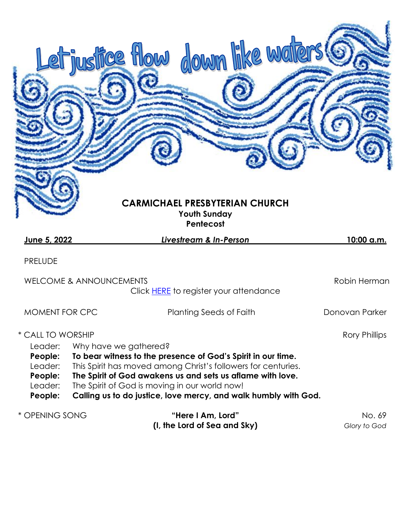|                                                                                     |                                    | Let justice flow down like waters<br><b>CARMICHAEL PRESBYTERIAN CHURCH</b><br><b>Youth Sunday</b><br>Pentecost                                                                                                                                                                                                  |                        |
|-------------------------------------------------------------------------------------|------------------------------------|-----------------------------------------------------------------------------------------------------------------------------------------------------------------------------------------------------------------------------------------------------------------------------------------------------------------|------------------------|
| June 5, 2022                                                                        |                                    | <u>Livestream &amp; In-Person</u>                                                                                                                                                                                                                                                                               | 10:00 a.m.             |
| <b>PRELUDE</b>                                                                      |                                    |                                                                                                                                                                                                                                                                                                                 |                        |
|                                                                                     | <b>WELCOME &amp; ANNOUNCEMENTS</b> | Click <b>HERE</b> to register your attendance                                                                                                                                                                                                                                                                   | Robin Herman           |
| <b>MOMENT FOR CPC</b>                                                               |                                    | Planting Seeds of Faith                                                                                                                                                                                                                                                                                         | Donovan Parker         |
| * CALL TO WORSHIP<br>Leader:<br>People:<br>Leader:<br>People:<br>Leader:<br>People: | Why have we gathered?              | To bear witness to the presence of God's Spirit in our time.<br>This Spirit has moved among Christ's followers for centuries.<br>The Spirit of God awakens us and sets us aflame with love.<br>The Spirit of God is moving in our world now!<br>Calling us to do justice, love mercy, and walk humbly with God. | <b>Rory Phillips</b>   |
| * OPENING SONG                                                                      |                                    | "Here I Am, Lord"<br>(I, the Lord of Sea and Sky)                                                                                                                                                                                                                                                               | No. 69<br>Glory to God |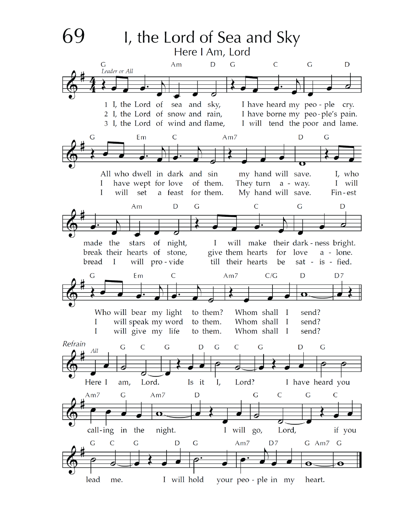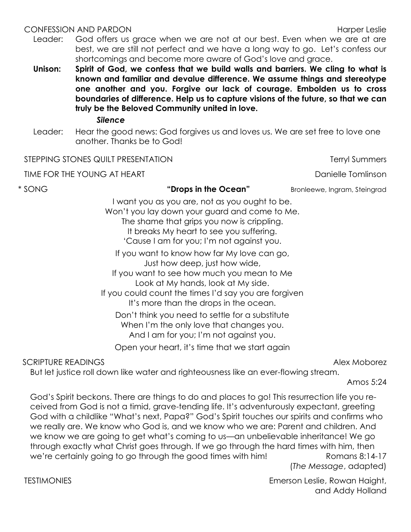#### CONFESSION AND PARDON **Example 20 and 20 and 20 and 20 and 20 and 20 and 20 and 20 and 20 and 20 and 20 and 20 and 20 and 20 and 20 and 20 and 20 and 20 and 20 and 20 and 20 and 20 and 20 and 20 and 20 and 20 and 20 and 20**

Leader: God offers us grace when we are not at our best. Even when we are at are best, we are still not perfect and we have a long way to go. Let's confess our shortcomings and become more aware of God's love and grace.

**Unison: Spirit of God, we confess that we build walls and barriers. We cling to what is known and familiar and devalue difference. We assume things and stereotype one another and you. Forgive our lack of courage. Embolden us to cross boundaries of difference. Help us to capture visions of the future, so that we can truly be the Beloved Community united in love.** 

*Silence*

Leader: Hear the good news: God forgives us and loves us. We are set free to love one another. Thanks be to God!

STEPPING STONES QUILT PRESENTATION TERRY ON A 1999 Terryl Summers

TIME FOR THE YOUNG AT HEART THE STATE OF THE STATE OF THE STATE OF THE TOMING AT HEART

#### \* SONG **"Drops in the Ocean"** Bronleewe, Ingram, Steingrad

I want you as you are, not as you ought to be. Won't you lay down your guard and come to Me. The shame that grips you now is crippling. It breaks My heart to see you suffering. 'Cause I am for you; I'm not against you.

If you want to know how far My love can go, Just how deep, just how wide,

If you want to see how much you mean to Me

Look at My hands, look at My side.

If you could count the times I'd say you are forgiven

It's more than the drops in the ocean.

Don't think you need to settle for a substitute When I'm the only love that changes you. And I am for you; I'm not against you.

Open your heart, it's time that we start again

## SCRIPTURE READINGS Alex Moborez Alex Moborez

But let justice roll down like water and righteousness like an ever-flowing stream.

Amos 5:24

God's Spirit beckons. There are things to do and places to go! This resurrection life you received from God is not a timid, grave-tending life. It's adventurously expectant, greeting God with a childlike "What's next, Papa?" God's Spirit touches our spirits and confirms who we really are. We know who God is, and we know who we are: Parent and children. And we know we are going to get what's coming to us—an unbelievable inheritance! We go through exactly what Christ goes through. If we go through the hard times with him, then we're certainly going to go through the good times with him! Romans 8:14-17 (*The Message*, adapted)

TESTIMONIES Emerson Leslie, Rowan Haight, and Addy Holland